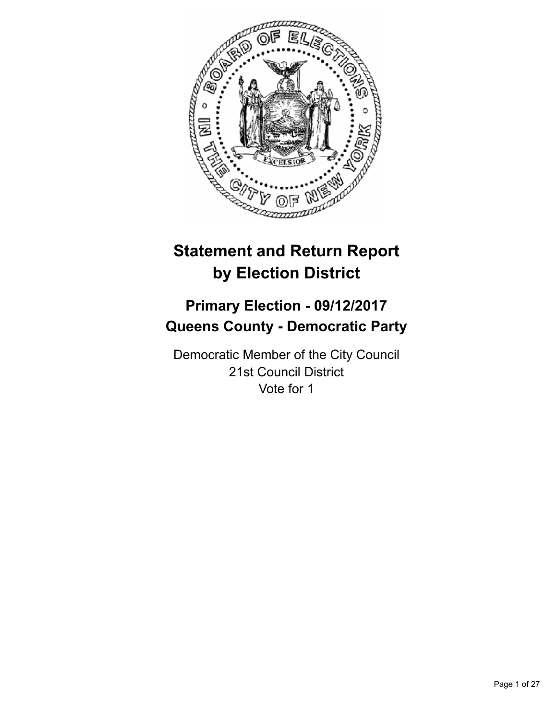

# **Statement and Return Report by Election District**

# **Primary Election - 09/12/2017 Queens County - Democratic Party**

Democratic Member of the City Council 21st Council District Vote for 1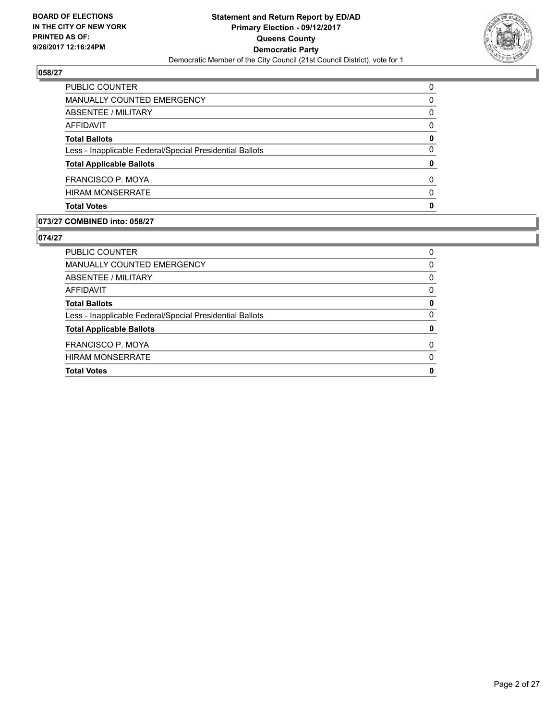

| <b>Total Votes</b>                                       | O |
|----------------------------------------------------------|---|
| <b>HIRAM MONSERRATE</b>                                  | 0 |
| FRANCISCO P. MOYA                                        | 0 |
| <b>Total Applicable Ballots</b>                          | 0 |
| Less - Inapplicable Federal/Special Presidential Ballots | 0 |
| <b>Total Ballots</b>                                     | 0 |
| AFFIDAVIT                                                | 0 |
| <b>ABSENTEE / MILITARY</b>                               | 0 |
| MANUALLY COUNTED EMERGENCY                               | 0 |
| <b>PUBLIC COUNTER</b>                                    | 0 |

## **073/27 COMBINED into: 058/27**

| <b>Total Votes</b>                                       | 0 |
|----------------------------------------------------------|---|
| <b>HIRAM MONSERRATE</b>                                  | 0 |
| FRANCISCO P. MOYA                                        | 0 |
| <b>Total Applicable Ballots</b>                          | 0 |
| Less - Inapplicable Federal/Special Presidential Ballots | 0 |
| <b>Total Ballots</b>                                     | 0 |
| AFFIDAVIT                                                | 0 |
| ABSENTEE / MILITARY                                      | 0 |
| MANUALLY COUNTED EMERGENCY                               | 0 |
| PUBLIC COUNTER                                           | 0 |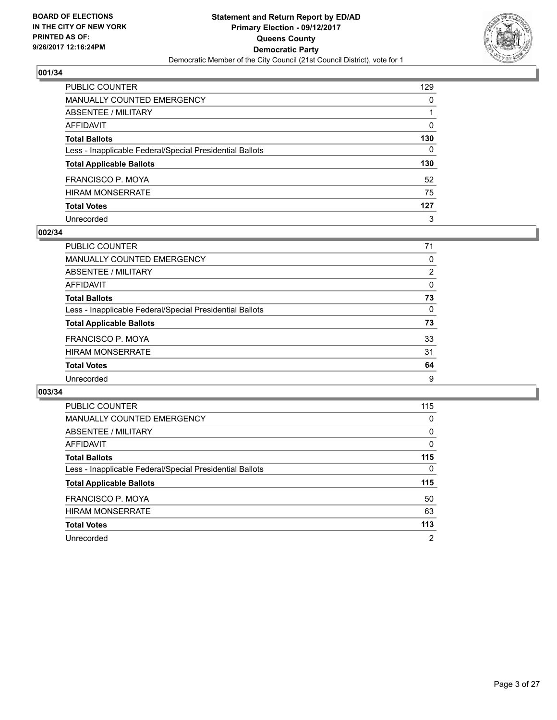

| PUBLIC COUNTER                                           | 129          |
|----------------------------------------------------------|--------------|
| <b>MANUALLY COUNTED EMERGENCY</b>                        | 0            |
| ABSENTEE / MILITARY                                      |              |
| <b>AFFIDAVIT</b>                                         | $\Omega$     |
| <b>Total Ballots</b>                                     | 130          |
| Less - Inapplicable Federal/Special Presidential Ballots | $\mathbf{0}$ |
| <b>Total Applicable Ballots</b>                          | 130          |
| <b>FRANCISCO P. MOYA</b>                                 | 52           |
| <b>HIRAM MONSERRATE</b>                                  | 75           |
| <b>Total Votes</b>                                       | 127          |
| Unrecorded                                               | 3            |

#### **002/34**

| PUBLIC COUNTER                                           | 71             |
|----------------------------------------------------------|----------------|
| <b>MANUALLY COUNTED EMERGENCY</b>                        | 0              |
| ABSENTEE / MILITARY                                      | $\overline{2}$ |
| AFFIDAVIT                                                | 0              |
| <b>Total Ballots</b>                                     | 73             |
| Less - Inapplicable Federal/Special Presidential Ballots | 0              |
| <b>Total Applicable Ballots</b>                          | 73             |
| <b>FRANCISCO P. MOYA</b>                                 | 33             |
| <b>HIRAM MONSERRATE</b>                                  | 31             |
| <b>Total Votes</b>                                       | 64             |
| Unrecorded                                               | 9              |
|                                                          |                |

| <b>PUBLIC COUNTER</b>                                    | 115            |
|----------------------------------------------------------|----------------|
| <b>MANUALLY COUNTED EMERGENCY</b>                        | 0              |
| ABSENTEE / MILITARY                                      | 0              |
| AFFIDAVIT                                                | $\Omega$       |
| <b>Total Ballots</b>                                     | 115            |
| Less - Inapplicable Federal/Special Presidential Ballots | 0              |
| <b>Total Applicable Ballots</b>                          | 115            |
| FRANCISCO P. MOYA                                        | 50             |
| <b>HIRAM MONSERRATE</b>                                  | 63             |
| <b>Total Votes</b>                                       | 113            |
| Unrecorded                                               | $\overline{2}$ |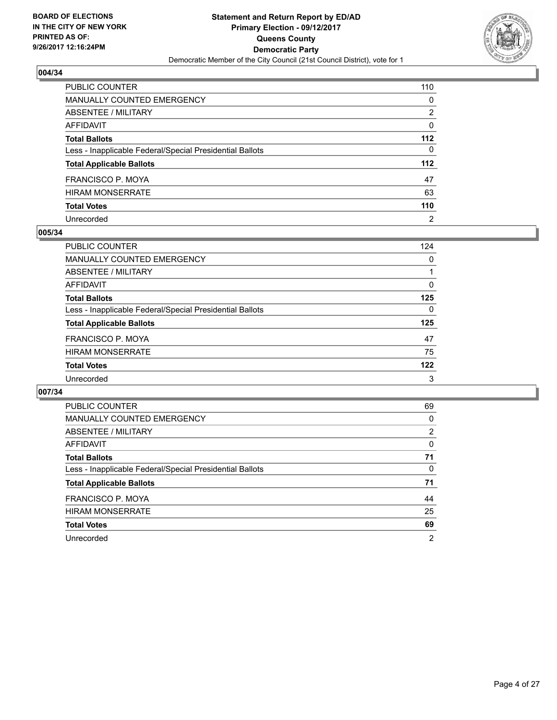

| PUBLIC COUNTER                                           | 110            |
|----------------------------------------------------------|----------------|
| <b>MANUALLY COUNTED EMERGENCY</b>                        | 0              |
| ABSENTEE / MILITARY                                      | 2              |
| <b>AFFIDAVIT</b>                                         | 0              |
| <b>Total Ballots</b>                                     | 112            |
| Less - Inapplicable Federal/Special Presidential Ballots | $\mathbf{0}$   |
| <b>Total Applicable Ballots</b>                          | 112            |
| FRANCISCO P. MOYA                                        | 47             |
| HIRAM MONSERRATE                                         | 63             |
| <b>Total Votes</b>                                       | 110            |
| Unrecorded                                               | $\overline{2}$ |

#### **005/34**

| <b>PUBLIC COUNTER</b>                                    | 124 |
|----------------------------------------------------------|-----|
| <b>MANUALLY COUNTED EMERGENCY</b>                        | 0   |
| ABSENTEE / MILITARY                                      |     |
| AFFIDAVIT                                                | 0   |
| <b>Total Ballots</b>                                     | 125 |
| Less - Inapplicable Federal/Special Presidential Ballots | 0   |
| <b>Total Applicable Ballots</b>                          | 125 |
| FRANCISCO P. MOYA                                        | 47  |
| <b>HIRAM MONSERRATE</b>                                  | 75  |
| <b>Total Votes</b>                                       | 122 |
| Unrecorded                                               | 3   |

| <b>PUBLIC COUNTER</b>                                    | 69 |
|----------------------------------------------------------|----|
| <b>MANUALLY COUNTED EMERGENCY</b>                        | 0  |
| ABSENTEE / MILITARY                                      | 2  |
| AFFIDAVIT                                                | 0  |
| <b>Total Ballots</b>                                     | 71 |
| Less - Inapplicable Federal/Special Presidential Ballots | 0  |
| <b>Total Applicable Ballots</b>                          | 71 |
| FRANCISCO P. MOYA                                        | 44 |
| <b>HIRAM MONSERRATE</b>                                  | 25 |
| <b>Total Votes</b>                                       | 69 |
| Unrecorded                                               | 2  |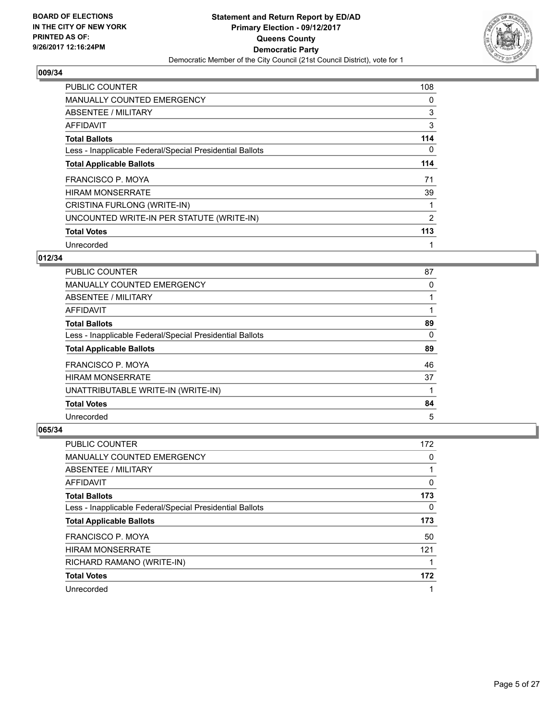

| <b>PUBLIC COUNTER</b>                                    | 108 |
|----------------------------------------------------------|-----|
| <b>MANUALLY COUNTED EMERGENCY</b>                        | 0   |
| ABSENTEE / MILITARY                                      | 3   |
| <b>AFFIDAVIT</b>                                         | 3   |
| <b>Total Ballots</b>                                     | 114 |
| Less - Inapplicable Federal/Special Presidential Ballots | 0   |
| <b>Total Applicable Ballots</b>                          | 114 |
| <b>FRANCISCO P. MOYA</b>                                 | 71  |
| <b>HIRAM MONSERRATE</b>                                  | 39  |
| CRISTINA FURLONG (WRITE-IN)                              | 1   |
| UNCOUNTED WRITE-IN PER STATUTE (WRITE-IN)                | 2   |
| <b>Total Votes</b>                                       | 113 |
| Unrecorded                                               |     |

# **012/34**

| <b>PUBLIC COUNTER</b>                                    | 87 |
|----------------------------------------------------------|----|
| <b>MANUALLY COUNTED EMERGENCY</b>                        | 0  |
| ABSENTEE / MILITARY                                      |    |
| AFFIDAVIT                                                |    |
| <b>Total Ballots</b>                                     | 89 |
| Less - Inapplicable Federal/Special Presidential Ballots | 0  |
| <b>Total Applicable Ballots</b>                          | 89 |
| FRANCISCO P. MOYA                                        | 46 |
| <b>HIRAM MONSERRATE</b>                                  | 37 |
| UNATTRIBUTABLE WRITE-IN (WRITE-IN)                       |    |
| <b>Total Votes</b>                                       | 84 |
| Unrecorded                                               | 5  |

| <b>PUBLIC COUNTER</b>                                    | 172 |
|----------------------------------------------------------|-----|
| <b>MANUALLY COUNTED EMERGENCY</b>                        | 0   |
| ABSENTEE / MILITARY                                      |     |
| AFFIDAVIT                                                | 0   |
| <b>Total Ballots</b>                                     | 173 |
| Less - Inapplicable Federal/Special Presidential Ballots | 0   |
| <b>Total Applicable Ballots</b>                          | 173 |
|                                                          |     |
| FRANCISCO P. MOYA                                        | 50  |
| <b>HIRAM MONSERRATE</b>                                  | 121 |
| RICHARD RAMANO (WRITE-IN)                                |     |
| <b>Total Votes</b>                                       | 172 |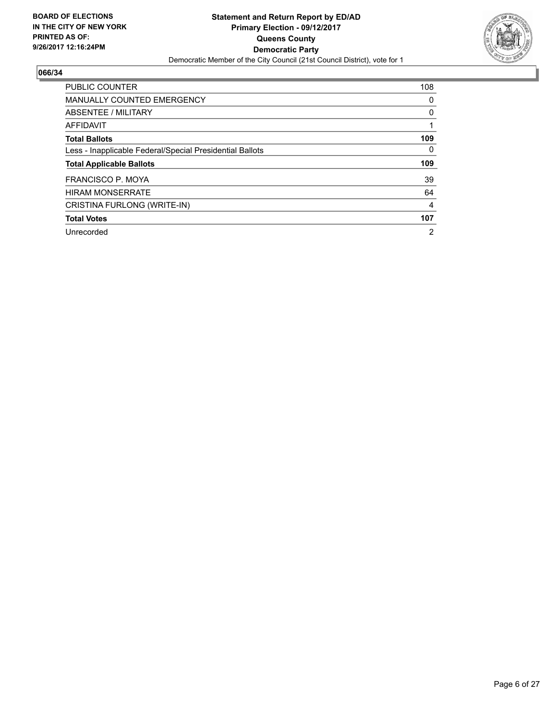

| <b>PUBLIC COUNTER</b>                                    | 108 |
|----------------------------------------------------------|-----|
| <b>MANUALLY COUNTED EMERGENCY</b>                        | 0   |
| ABSENTEE / MILITARY                                      | 0   |
| <b>AFFIDAVIT</b>                                         |     |
| <b>Total Ballots</b>                                     | 109 |
| Less - Inapplicable Federal/Special Presidential Ballots | 0   |
| <b>Total Applicable Ballots</b>                          | 109 |
| FRANCISCO P. MOYA                                        | 39  |
|                                                          |     |
| <b>HIRAM MONSERRATE</b>                                  | 64  |
| CRISTINA FURLONG (WRITE-IN)                              | 4   |
| <b>Total Votes</b>                                       | 107 |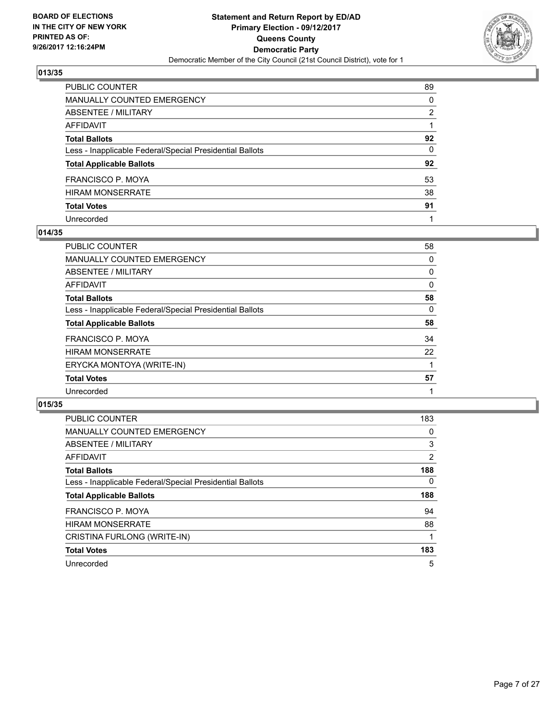

| PUBLIC COUNTER                                           | 89           |
|----------------------------------------------------------|--------------|
| MANUALLY COUNTED EMERGENCY                               | 0            |
| ABSENTEE / MILITARY                                      | 2            |
| AFFIDAVIT                                                |              |
| Total Ballots                                            | 92           |
| Less - Inapplicable Federal/Special Presidential Ballots | $\mathbf{0}$ |
| <b>Total Applicable Ballots</b>                          | 92           |
| FRANCISCO P. MOYA                                        | 53           |
| HIRAM MONSERRATE                                         | 38           |
| <b>Total Votes</b>                                       | 91           |
| Unrecorded                                               |              |

## **014/35**

| <b>PUBLIC COUNTER</b>                                    | 58 |
|----------------------------------------------------------|----|
| <b>MANUALLY COUNTED EMERGENCY</b>                        | 0  |
| ABSENTEE / MILITARY                                      | 0  |
| AFFIDAVIT                                                | 0  |
| <b>Total Ballots</b>                                     | 58 |
| Less - Inapplicable Federal/Special Presidential Ballots | 0  |
| <b>Total Applicable Ballots</b>                          | 58 |
| <b>FRANCISCO P. MOYA</b>                                 | 34 |
| <b>HIRAM MONSERRATE</b>                                  | 22 |
| ERYCKA MONTOYA (WRITE-IN)                                |    |
| <b>Total Votes</b>                                       | 57 |
| Unrecorded                                               |    |

| <b>PUBLIC COUNTER</b>                                    | 183            |
|----------------------------------------------------------|----------------|
| <b>MANUALLY COUNTED EMERGENCY</b>                        | 0              |
| ABSENTEE / MILITARY                                      | 3              |
| AFFIDAVIT                                                | $\overline{2}$ |
| <b>Total Ballots</b>                                     | 188            |
| Less - Inapplicable Federal/Special Presidential Ballots | $\Omega$       |
| <b>Total Applicable Ballots</b>                          | 188            |
| FRANCISCO P. MOYA                                        | 94             |
| <b>HIRAM MONSERRATE</b>                                  | 88             |
| CRISTINA FURLONG (WRITE-IN)                              |                |
| <b>Total Votes</b>                                       | 183            |
| Unrecorded                                               | 5              |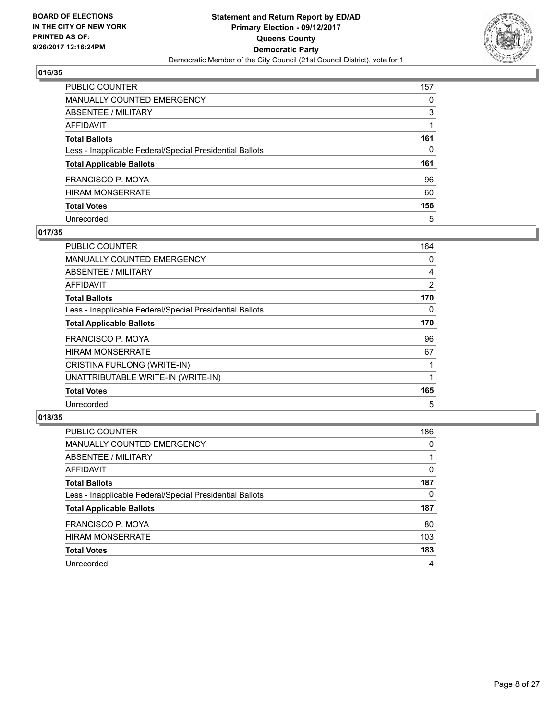

| PUBLIC COUNTER                                           | 157 |
|----------------------------------------------------------|-----|
| <b>MANUALLY COUNTED EMERGENCY</b>                        | 0   |
| <b>ABSENTEE / MILITARY</b>                               | 3   |
| AFFIDAVIT                                                |     |
| <b>Total Ballots</b>                                     | 161 |
| Less - Inapplicable Federal/Special Presidential Ballots | 0   |
| <b>Total Applicable Ballots</b>                          | 161 |
| FRANCISCO P. MOYA                                        | 96  |
| <b>HIRAM MONSERRATE</b>                                  | 60  |
| <b>Total Votes</b>                                       | 156 |
| Unrecorded                                               | 5   |

## **017/35**

| <b>PUBLIC COUNTER</b>                                    | 164 |
|----------------------------------------------------------|-----|
| <b>MANUALLY COUNTED EMERGENCY</b>                        | 0   |
| ABSENTEE / MILITARY                                      | 4   |
| AFFIDAVIT                                                | 2   |
| <b>Total Ballots</b>                                     | 170 |
| Less - Inapplicable Federal/Special Presidential Ballots | 0   |
| <b>Total Applicable Ballots</b>                          | 170 |
| <b>FRANCISCO P. MOYA</b>                                 | 96  |
| <b>HIRAM MONSERRATE</b>                                  | 67  |
| CRISTINA FURLONG (WRITE-IN)                              |     |
| UNATTRIBUTABLE WRITE-IN (WRITE-IN)                       |     |
| <b>Total Votes</b>                                       | 165 |
| Unrecorded                                               | 5   |

| <b>PUBLIC COUNTER</b>                                    | 186 |
|----------------------------------------------------------|-----|
| MANUALLY COUNTED EMERGENCY                               | 0   |
| ABSENTEE / MILITARY                                      |     |
| AFFIDAVIT                                                | 0   |
| <b>Total Ballots</b>                                     | 187 |
| Less - Inapplicable Federal/Special Presidential Ballots | 0   |
| <b>Total Applicable Ballots</b>                          | 187 |
| <b>FRANCISCO P. MOYA</b>                                 | 80  |
| <b>HIRAM MONSERRATE</b>                                  | 103 |
| <b>Total Votes</b>                                       | 183 |
| Unrecorded                                               | 4   |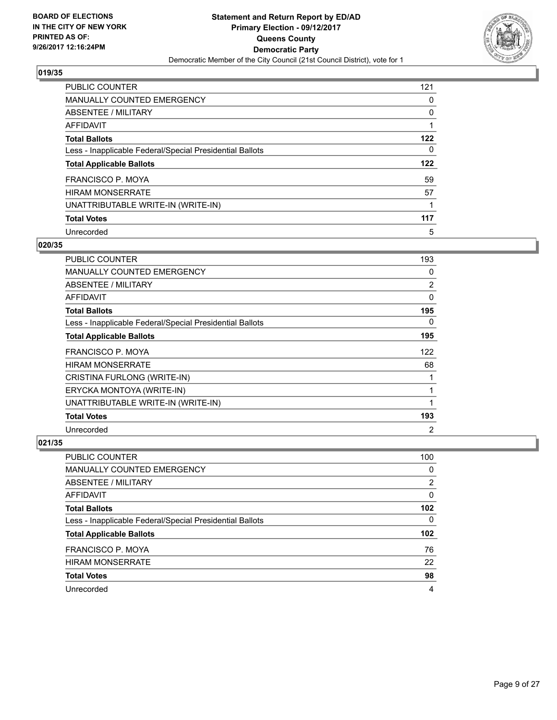

| PUBLIC COUNTER                                           | 121 |
|----------------------------------------------------------|-----|
| <b>MANUALLY COUNTED EMERGENCY</b>                        | 0   |
| ABSENTEE / MILITARY                                      | 0   |
| AFFIDAVIT                                                |     |
| <b>Total Ballots</b>                                     | 122 |
| Less - Inapplicable Federal/Special Presidential Ballots | 0   |
| <b>Total Applicable Ballots</b>                          | 122 |
| <b>FRANCISCO P. MOYA</b>                                 | 59  |
| <b>HIRAM MONSERRATE</b>                                  | 57  |
| UNATTRIBUTABLE WRITE-IN (WRITE-IN)                       |     |
| <b>Total Votes</b>                                       | 117 |
| Unrecorded                                               | 5   |

#### **020/35**

| <b>PUBLIC COUNTER</b>                                    | 193          |
|----------------------------------------------------------|--------------|
| <b>MANUALLY COUNTED EMERGENCY</b>                        | 0            |
| ABSENTEE / MILITARY                                      | 2            |
| AFFIDAVIT                                                | 0            |
| <b>Total Ballots</b>                                     | 195          |
| Less - Inapplicable Federal/Special Presidential Ballots | 0            |
| <b>Total Applicable Ballots</b>                          | 195          |
| FRANCISCO P. MOYA                                        | 122          |
| <b>HIRAM MONSERRATE</b>                                  | 68           |
| CRISTINA FURLONG (WRITE-IN)                              |              |
| ERYCKA MONTOYA (WRITE-IN)                                | 1            |
| UNATTRIBUTABLE WRITE-IN (WRITE-IN)                       | $\mathbf{1}$ |
| <b>Total Votes</b>                                       | 193          |
| Unrecorded                                               | 2            |

| <b>PUBLIC COUNTER</b>                                    | 100            |
|----------------------------------------------------------|----------------|
| MANUALLY COUNTED EMERGENCY                               | 0              |
| ABSENTEE / MILITARY                                      | $\overline{2}$ |
| AFFIDAVIT                                                | 0              |
| <b>Total Ballots</b>                                     | 102            |
| Less - Inapplicable Federal/Special Presidential Ballots | 0              |
| <b>Total Applicable Ballots</b>                          | 102            |
| <b>FRANCISCO P. MOYA</b>                                 | 76             |
| <b>HIRAM MONSERRATE</b>                                  | 22             |
| <b>Total Votes</b>                                       | 98             |
| Unrecorded                                               | 4              |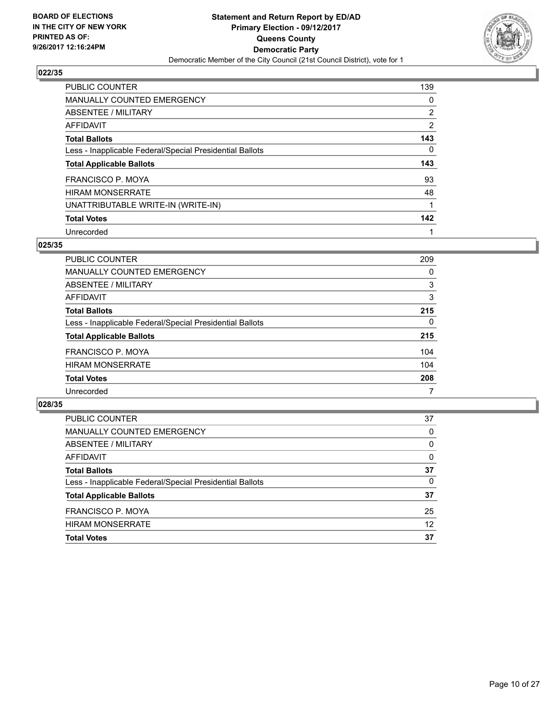

| PUBLIC COUNTER                                           | 139            |
|----------------------------------------------------------|----------------|
| <b>MANUALLY COUNTED EMERGENCY</b>                        | 0              |
| ABSENTEE / MILITARY                                      | $\overline{2}$ |
| AFFIDAVIT                                                | $\overline{2}$ |
| <b>Total Ballots</b>                                     | 143            |
| Less - Inapplicable Federal/Special Presidential Ballots | 0              |
| <b>Total Applicable Ballots</b>                          | 143            |
| <b>FRANCISCO P. MOYA</b>                                 | 93             |
| <b>HIRAM MONSERRATE</b>                                  | 48             |
| UNATTRIBUTABLE WRITE-IN (WRITE-IN)                       |                |
| <b>Total Votes</b>                                       | 142            |
|                                                          |                |

#### **025/35**

| <b>PUBLIC COUNTER</b>                                    | 209 |
|----------------------------------------------------------|-----|
| <b>MANUALLY COUNTED EMERGENCY</b>                        | 0   |
| ABSENTEE / MILITARY                                      | 3   |
| AFFIDAVIT                                                | 3   |
| <b>Total Ballots</b>                                     | 215 |
| Less - Inapplicable Federal/Special Presidential Ballots | 0   |
| <b>Total Applicable Ballots</b>                          | 215 |
| FRANCISCO P. MOYA                                        | 104 |
| <b>HIRAM MONSERRATE</b>                                  | 104 |
| <b>Total Votes</b>                                       | 208 |
| Unrecorded                                               | 7   |

| <b>PUBLIC COUNTER</b>                                    | 37       |
|----------------------------------------------------------|----------|
| MANUALLY COUNTED EMERGENCY                               | 0        |
| ABSENTEE / MILITARY                                      | $\Omega$ |
| AFFIDAVIT                                                | 0        |
| <b>Total Ballots</b>                                     | 37       |
| Less - Inapplicable Federal/Special Presidential Ballots | $\Omega$ |
| <b>Total Applicable Ballots</b>                          | 37       |
| FRANCISCO P. MOYA                                        | 25       |
| <b>HIRAM MONSERRATE</b>                                  | 12       |
| <b>Total Votes</b>                                       | 37       |
|                                                          |          |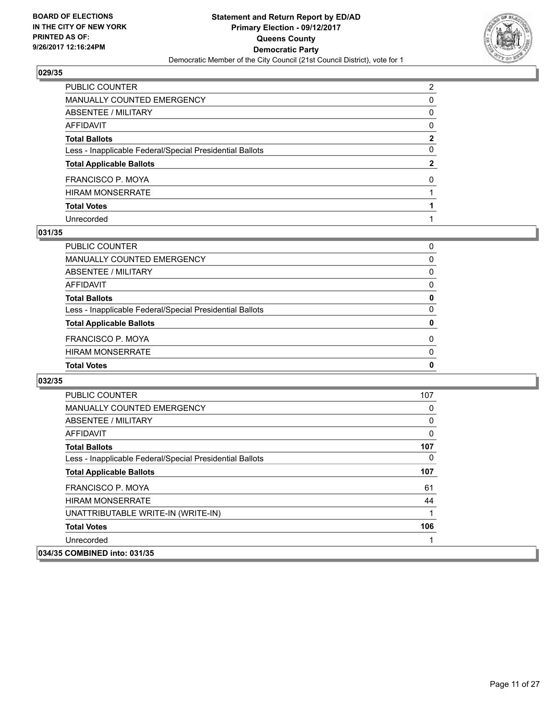

| PUBLIC COUNTER                                           | $\overline{2}$ |
|----------------------------------------------------------|----------------|
| MANUALLY COUNTED EMERGENCY                               | 0              |
| ABSENTEE / MILITARY                                      | 0              |
| AFFIDAVIT                                                | $\mathbf{0}$   |
| Total Ballots                                            | $\mathbf{2}$   |
| Less - Inapplicable Federal/Special Presidential Ballots | $\mathbf{0}$   |
| <b>Total Applicable Ballots</b>                          | $\mathbf{2}$   |
| FRANCISCO P. MOYA                                        | $\Omega$       |
| HIRAM MONSERRATE                                         |                |
| <b>Total Votes</b>                                       |                |
| Unrecorded                                               |                |

#### **031/35**

| <b>Total Votes</b>                                       | 0        |
|----------------------------------------------------------|----------|
| <b>HIRAM MONSERRATE</b>                                  | $\Omega$ |
| <b>FRANCISCO P. MOYA</b>                                 | $\Omega$ |
| <b>Total Applicable Ballots</b>                          | 0        |
| Less - Inapplicable Federal/Special Presidential Ballots | 0        |
| <b>Total Ballots</b>                                     | 0        |
| AFFIDAVIT                                                | 0        |
| ABSENTEE / MILITARY                                      | 0        |
| MANUALLY COUNTED EMERGENCY                               | 0        |
| PUBLIC COUNTER                                           | 0        |

| <b>PUBLIC COUNTER</b>                                    | 107 |
|----------------------------------------------------------|-----|
| <b>MANUALLY COUNTED EMERGENCY</b>                        | 0   |
| ABSENTEE / MILITARY                                      | 0   |
| <b>AFFIDAVIT</b>                                         | 0   |
| <b>Total Ballots</b>                                     | 107 |
| Less - Inapplicable Federal/Special Presidential Ballots | 0   |
| <b>Total Applicable Ballots</b>                          | 107 |
| FRANCISCO P. MOYA                                        | 61  |
| <b>HIRAM MONSERRATE</b>                                  | 44  |
| UNATTRIBUTABLE WRITE-IN (WRITE-IN)                       |     |
| <b>Total Votes</b>                                       | 106 |
| Unrecorded                                               |     |
| 034/35 COMBINED into: 031/35                             |     |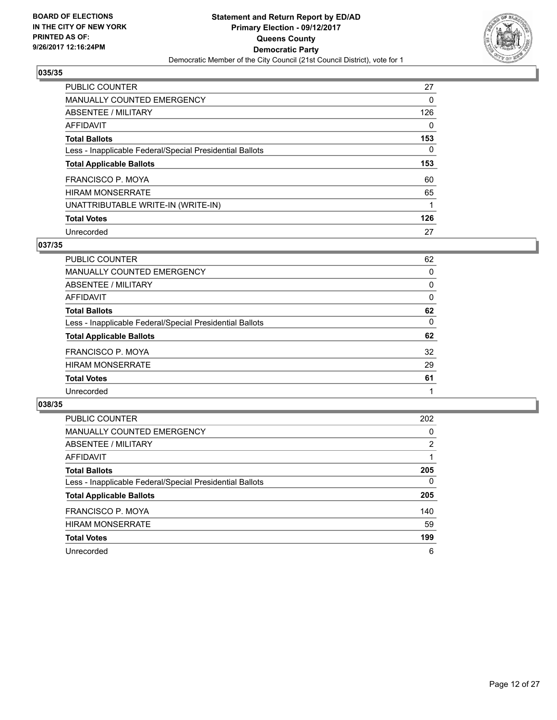

| <b>PUBLIC COUNTER</b>                                    | 27  |
|----------------------------------------------------------|-----|
| <b>MANUALLY COUNTED EMERGENCY</b>                        | 0   |
| ABSENTEE / MILITARY                                      | 126 |
| AFFIDAVIT                                                | 0   |
| <b>Total Ballots</b>                                     | 153 |
| Less - Inapplicable Federal/Special Presidential Ballots | 0   |
| <b>Total Applicable Ballots</b>                          | 153 |
| <b>FRANCISCO P. MOYA</b>                                 | 60  |
| <b>HIRAM MONSERRATE</b>                                  | 65  |
|                                                          |     |
| UNATTRIBUTABLE WRITE-IN (WRITE-IN)                       |     |
| <b>Total Votes</b>                                       | 126 |

#### **037/35**

| PUBLIC COUNTER                                           | 62 |
|----------------------------------------------------------|----|
| MANUALLY COUNTED EMERGENCY                               | 0  |
| ABSENTEE / MILITARY                                      | 0  |
| AFFIDAVIT                                                | 0  |
| <b>Total Ballots</b>                                     | 62 |
| Less - Inapplicable Federal/Special Presidential Ballots | 0  |
| <b>Total Applicable Ballots</b>                          | 62 |
| FRANCISCO P. MOYA                                        | 32 |
| <b>HIRAM MONSERRATE</b>                                  | 29 |
| <b>Total Votes</b>                                       | 61 |
| Unrecorded                                               |    |

| <b>PUBLIC COUNTER</b>                                    | 202            |
|----------------------------------------------------------|----------------|
| MANUALLY COUNTED EMERGENCY                               | 0              |
| ABSENTEE / MILITARY                                      | $\overline{2}$ |
| AFFIDAVIT                                                |                |
| <b>Total Ballots</b>                                     | 205            |
| Less - Inapplicable Federal/Special Presidential Ballots | 0              |
| <b>Total Applicable Ballots</b>                          | 205            |
| <b>FRANCISCO P. MOYA</b>                                 | 140            |
| <b>HIRAM MONSERRATE</b>                                  | 59             |
| <b>Total Votes</b>                                       | 199            |
| Unrecorded                                               | 6              |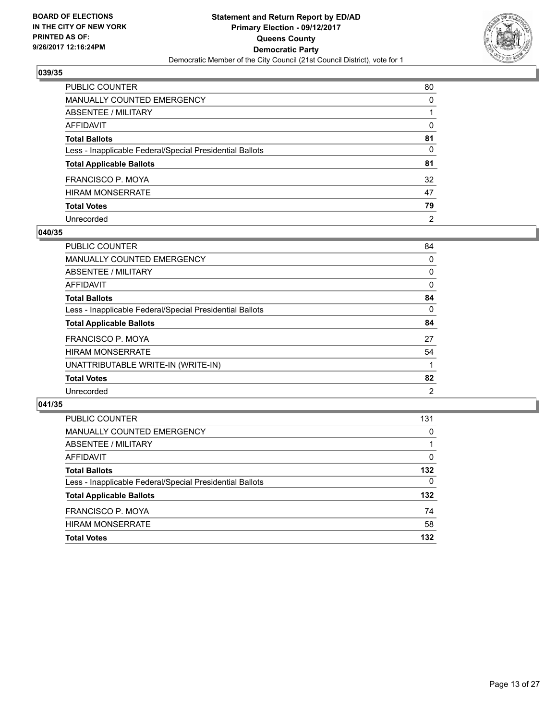

| PUBLIC COUNTER                                           | 80             |
|----------------------------------------------------------|----------------|
| <b>MANUALLY COUNTED EMERGENCY</b>                        | $\Omega$       |
| <b>ABSENTEE / MILITARY</b>                               |                |
| <b>AFFIDAVIT</b>                                         | 0              |
| <b>Total Ballots</b>                                     | 81             |
| Less - Inapplicable Federal/Special Presidential Ballots | $\Omega$       |
| <b>Total Applicable Ballots</b>                          | 81             |
| <b>FRANCISCO P. MOYA</b>                                 | 32             |
| <b>HIRAM MONSERRATE</b>                                  | 47             |
| <b>Total Votes</b>                                       | 79             |
| Unrecorded                                               | $\overline{2}$ |

#### **040/35**

| <b>PUBLIC COUNTER</b>                                    | 84 |
|----------------------------------------------------------|----|
| <b>MANUALLY COUNTED EMERGENCY</b>                        | 0  |
| ABSENTEE / MILITARY                                      | 0  |
| AFFIDAVIT                                                | 0  |
| <b>Total Ballots</b>                                     | 84 |
| Less - Inapplicable Federal/Special Presidential Ballots | 0  |
| <b>Total Applicable Ballots</b>                          | 84 |
| FRANCISCO P. MOYA                                        | 27 |
| <b>HIRAM MONSERRATE</b>                                  | 54 |
| UNATTRIBUTABLE WRITE-IN (WRITE-IN)                       |    |
| <b>Total Votes</b>                                       | 82 |
| Unrecorded                                               | 2  |
|                                                          |    |

| <b>PUBLIC COUNTER</b>                                    | 131 |
|----------------------------------------------------------|-----|
| MANUALLY COUNTED EMERGENCY                               | 0   |
| ABSENTEE / MILITARY                                      |     |
| AFFIDAVIT                                                | 0   |
| <b>Total Ballots</b>                                     | 132 |
| Less - Inapplicable Federal/Special Presidential Ballots | 0   |
| <b>Total Applicable Ballots</b>                          | 132 |
| <b>FRANCISCO P. MOYA</b>                                 | 74  |
| <b>HIRAM MONSERRATE</b>                                  | 58  |
| <b>Total Votes</b>                                       | 132 |
|                                                          |     |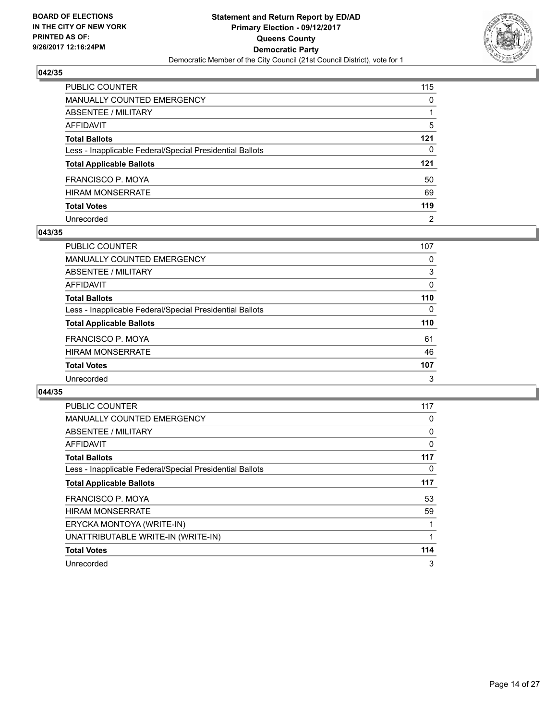

| PUBLIC COUNTER                                           | 115            |
|----------------------------------------------------------|----------------|
| <b>MANUALLY COUNTED EMERGENCY</b>                        | $\mathbf{0}$   |
| ABSENTEE / MILITARY                                      |                |
| <b>AFFIDAVIT</b>                                         | 5              |
| <b>Total Ballots</b>                                     | $121$          |
| Less - Inapplicable Federal/Special Presidential Ballots | 0              |
| <b>Total Applicable Ballots</b>                          | $121$          |
| FRANCISCO P. MOYA                                        | 50             |
| <b>HIRAM MONSERRATE</b>                                  | 69             |
| <b>Total Votes</b>                                       | 119            |
| Unrecorded                                               | $\overline{2}$ |

#### **043/35**

| PUBLIC COUNTER                                           | 107 |
|----------------------------------------------------------|-----|
| <b>MANUALLY COUNTED EMERGENCY</b>                        | 0   |
| ABSENTEE / MILITARY                                      | 3   |
| AFFIDAVIT                                                | 0   |
| <b>Total Ballots</b>                                     | 110 |
| Less - Inapplicable Federal/Special Presidential Ballots | 0   |
| <b>Total Applicable Ballots</b>                          | 110 |
| <b>FRANCISCO P. MOYA</b>                                 | 61  |
| <b>HIRAM MONSERRATE</b>                                  | 46  |
| <b>Total Votes</b>                                       | 107 |
| Unrecorded                                               | 3   |

| <b>PUBLIC COUNTER</b>                                    | 117 |
|----------------------------------------------------------|-----|
| <b>MANUALLY COUNTED EMERGENCY</b>                        | 0   |
| ABSENTEE / MILITARY                                      | 0   |
| <b>AFFIDAVIT</b>                                         | 0   |
| <b>Total Ballots</b>                                     | 117 |
| Less - Inapplicable Federal/Special Presidential Ballots | 0   |
| <b>Total Applicable Ballots</b>                          | 117 |
| FRANCISCO P. MOYA                                        | 53  |
| <b>HIRAM MONSERRATE</b>                                  | 59  |
| ERYCKA MONTOYA (WRITE-IN)                                |     |
| UNATTRIBUTABLE WRITE-IN (WRITE-IN)                       | 1   |
| <b>Total Votes</b>                                       | 114 |
| Unrecorded                                               | 3   |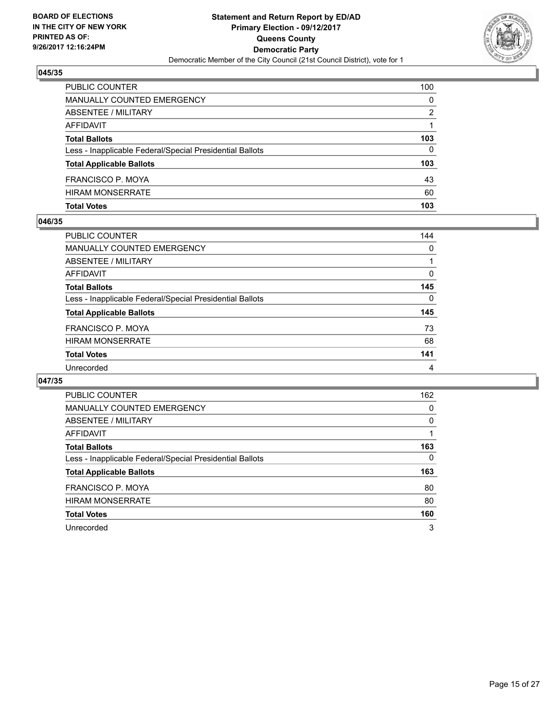

| PUBLIC COUNTER                                           | 100 |
|----------------------------------------------------------|-----|
| <b>MANUALLY COUNTED EMERGENCY</b>                        | 0   |
| <b>ABSENTEE / MILITARY</b>                               | 2   |
| AFFIDAVIT                                                |     |
| <b>Total Ballots</b>                                     | 103 |
| Less - Inapplicable Federal/Special Presidential Ballots | 0   |
| <b>Total Applicable Ballots</b>                          | 103 |
| <b>FRANCISCO P. MOYA</b>                                 | 43  |
| <b>HIRAM MONSERRATE</b>                                  | 60  |
| <b>Total Votes</b>                                       | 103 |

## **046/35**

| PUBLIC COUNTER                                           | 144 |
|----------------------------------------------------------|-----|
| <b>MANUALLY COUNTED EMERGENCY</b>                        | 0   |
| ABSENTEE / MILITARY                                      |     |
| AFFIDAVIT                                                | 0   |
| <b>Total Ballots</b>                                     | 145 |
| Less - Inapplicable Federal/Special Presidential Ballots | 0   |
| <b>Total Applicable Ballots</b>                          | 145 |
| FRANCISCO P. MOYA                                        | 73  |
| <b>HIRAM MONSERRATE</b>                                  | 68  |
| <b>Total Votes</b>                                       | 141 |
| Unrecorded                                               | 4   |

| PUBLIC COUNTER                                           | 162 |
|----------------------------------------------------------|-----|
| <b>MANUALLY COUNTED EMERGENCY</b>                        | 0   |
| ABSENTEE / MILITARY                                      | 0   |
| AFFIDAVIT                                                |     |
| <b>Total Ballots</b>                                     | 163 |
| Less - Inapplicable Federal/Special Presidential Ballots | 0   |
| <b>Total Applicable Ballots</b>                          | 163 |
| FRANCISCO P. MOYA                                        | 80  |
| <b>HIRAM MONSERRATE</b>                                  | 80  |
| <b>Total Votes</b>                                       | 160 |
| Unrecorded                                               | 3   |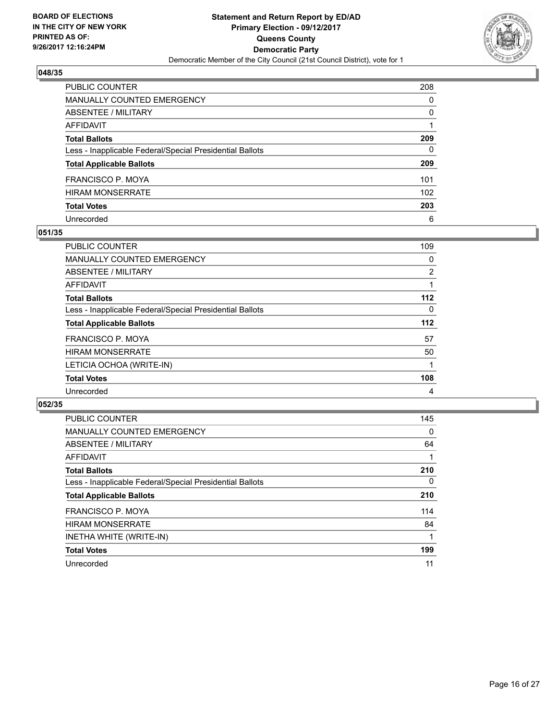

| PUBLIC COUNTER                                           | 208          |
|----------------------------------------------------------|--------------|
| <b>MANUALLY COUNTED EMERGENCY</b>                        | $\Omega$     |
| <b>ABSENTEE / MILITARY</b>                               | $\mathbf{0}$ |
| <b>AFFIDAVIT</b>                                         |              |
| <b>Total Ballots</b>                                     | 209          |
| Less - Inapplicable Federal/Special Presidential Ballots | 0            |
| <b>Total Applicable Ballots</b>                          | 209          |
| <b>FRANCISCO P. MOYA</b>                                 | 101          |
| <b>HIRAM MONSERRATE</b>                                  | 102          |
| <b>Total Votes</b>                                       | 203          |
| Unrecorded                                               | 6            |

#### **051/35**

| <b>PUBLIC COUNTER</b>                                    | 109            |
|----------------------------------------------------------|----------------|
| MANUALLY COUNTED EMERGENCY                               | 0              |
| ABSENTEE / MILITARY                                      | $\overline{2}$ |
| AFFIDAVIT                                                |                |
| <b>Total Ballots</b>                                     | $112$          |
| Less - Inapplicable Federal/Special Presidential Ballots | 0              |
| <b>Total Applicable Ballots</b>                          | $112$          |
| <b>FRANCISCO P. MOYA</b>                                 | 57             |
| <b>HIRAM MONSERRATE</b>                                  | 50             |
| LETICIA OCHOA (WRITE-IN)                                 |                |
| <b>Total Votes</b>                                       | 108            |
| Unrecorded                                               | 4              |

| <b>PUBLIC COUNTER</b>                                    | 145      |
|----------------------------------------------------------|----------|
| <b>MANUALLY COUNTED EMERGENCY</b>                        | 0        |
| ABSENTEE / MILITARY                                      | 64       |
| <b>AFFIDAVIT</b>                                         |          |
| <b>Total Ballots</b>                                     | 210      |
| Less - Inapplicable Federal/Special Presidential Ballots | $\Omega$ |
| <b>Total Applicable Ballots</b>                          | 210      |
| FRANCISCO P. MOYA                                        | 114      |
| <b>HIRAM MONSERRATE</b>                                  | 84       |
| INETHA WHITE (WRITE-IN)                                  |          |
| <b>Total Votes</b>                                       | 199      |
| Unrecorded                                               | 11       |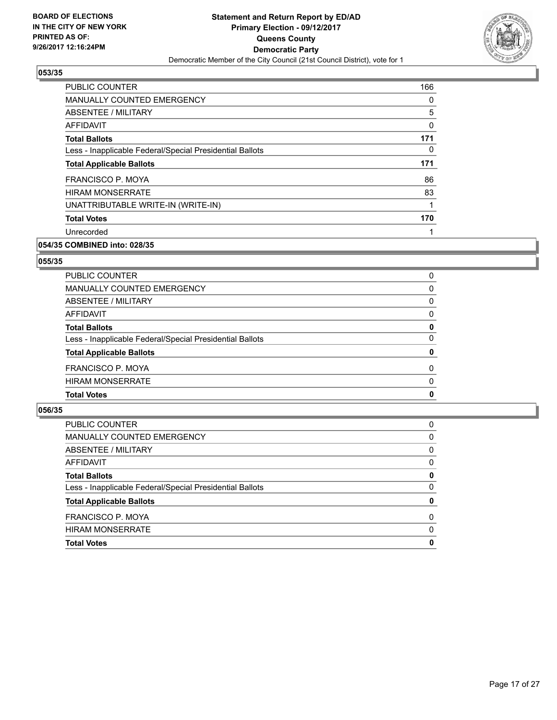

| PUBLIC COUNTER                                           | 166         |
|----------------------------------------------------------|-------------|
| <b>MANUALLY COUNTED EMERGENCY</b>                        | 0           |
| <b>ABSENTEE / MILITARY</b>                               | 5           |
| <b>AFFIDAVIT</b>                                         | $\mathbf 0$ |
| <b>Total Ballots</b>                                     | 171         |
| Less - Inapplicable Federal/Special Presidential Ballots | 0           |
| <b>Total Applicable Ballots</b>                          | 171         |
| FRANCISCO P. MOYA                                        | 86          |
| <b>HIRAM MONSERRATE</b>                                  | 83          |
| UNATTRIBUTABLE WRITE-IN (WRITE-IN)                       | 1           |
| <b>Total Votes</b>                                       | 170         |
| Unrecorded                                               |             |

# **054/35 COMBINED into: 028/35**

#### **055/35**

| 0        |
|----------|
| 0        |
| 0        |
| 0        |
| 0        |
| 0        |
| 0        |
| $\Omega$ |
| $\Omega$ |
| 0        |
|          |

| <b>PUBLIC COUNTER</b>                                    | 0        |
|----------------------------------------------------------|----------|
| MANUALLY COUNTED EMERGENCY                               | 0        |
| ABSENTEE / MILITARY                                      | 0        |
| AFFIDAVIT                                                | 0        |
| <b>Total Ballots</b>                                     | 0        |
| Less - Inapplicable Federal/Special Presidential Ballots | 0        |
| <b>Total Applicable Ballots</b>                          | 0        |
| <b>FRANCISCO P. MOYA</b>                                 | $\Omega$ |
| <b>HIRAM MONSERRATE</b>                                  | 0        |
| <b>Total Votes</b>                                       | 0        |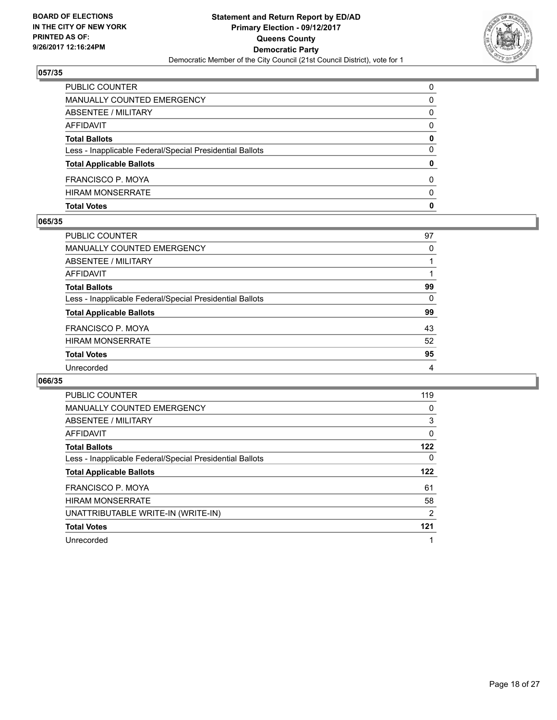

| <b>Total Votes</b>                                       | 0            |
|----------------------------------------------------------|--------------|
| <b>HIRAM MONSERRATE</b>                                  | <sup>0</sup> |
| <b>FRANCISCO P. MOYA</b>                                 | 0            |
| <b>Total Applicable Ballots</b>                          | 0            |
| Less - Inapplicable Federal/Special Presidential Ballots | 0            |
| <b>Total Ballots</b>                                     | 0            |
| AFFIDAVIT                                                | $\Omega$     |
| ABSENTEE / MILITARY                                      | 0            |
| MANUALLY COUNTED EMERGENCY                               | 0            |
| PUBLIC COUNTER                                           | $\Omega$     |

#### **065/35**

| <b>PUBLIC COUNTER</b>                                    | 97 |
|----------------------------------------------------------|----|
| <b>MANUALLY COUNTED EMERGENCY</b>                        | 0  |
| ABSENTEE / MILITARY                                      |    |
| AFFIDAVIT                                                |    |
| <b>Total Ballots</b>                                     | 99 |
| Less - Inapplicable Federal/Special Presidential Ballots | 0  |
| <b>Total Applicable Ballots</b>                          | 99 |
| FRANCISCO P. MOYA                                        | 43 |
| <b>HIRAM MONSERRATE</b>                                  | 52 |
| <b>Total Votes</b>                                       | 95 |
| Unrecorded                                               | 4  |
|                                                          |    |

| <b>PUBLIC COUNTER</b>                                    | 119            |
|----------------------------------------------------------|----------------|
| <b>MANUALLY COUNTED EMERGENCY</b>                        | 0              |
| ABSENTEE / MILITARY                                      | 3              |
| <b>AFFIDAVIT</b>                                         | $\mathbf{0}$   |
| <b>Total Ballots</b>                                     | 122            |
| Less - Inapplicable Federal/Special Presidential Ballots | 0              |
| <b>Total Applicable Ballots</b>                          | 122            |
| FRANCISCO P. MOYA                                        | 61             |
| <b>HIRAM MONSERRATE</b>                                  | 58             |
| UNATTRIBUTABLE WRITE-IN (WRITE-IN)                       | $\overline{2}$ |
| <b>Total Votes</b>                                       | 121            |
|                                                          |                |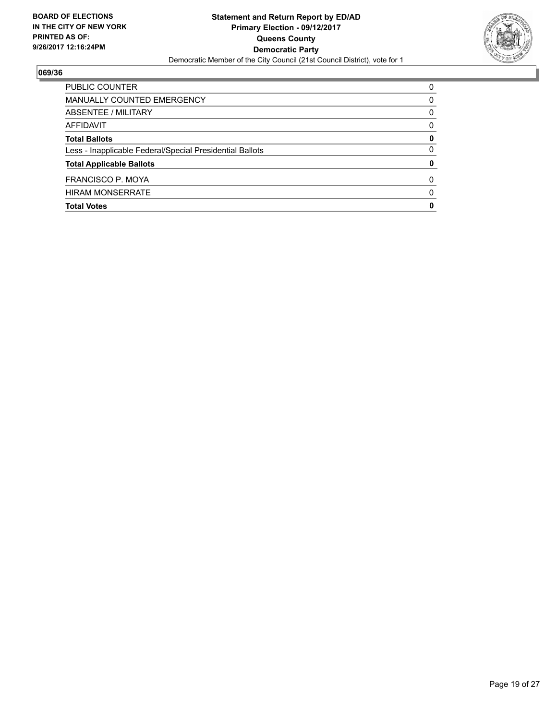

| <b>Total Votes</b>                                       | 0        |
|----------------------------------------------------------|----------|
| <b>HIRAM MONSERRATE</b>                                  | 0        |
| FRANCISCO P. MOYA                                        | 0        |
| <b>Total Applicable Ballots</b>                          | 0        |
| Less - Inapplicable Federal/Special Presidential Ballots | 0        |
| <b>Total Ballots</b>                                     | 0        |
| AFFIDAVIT                                                | 0        |
| ABSENTEE / MILITARY                                      | 0        |
| MANUALLY COUNTED EMERGENCY                               | 0        |
| <b>PUBLIC COUNTER</b>                                    | $\Omega$ |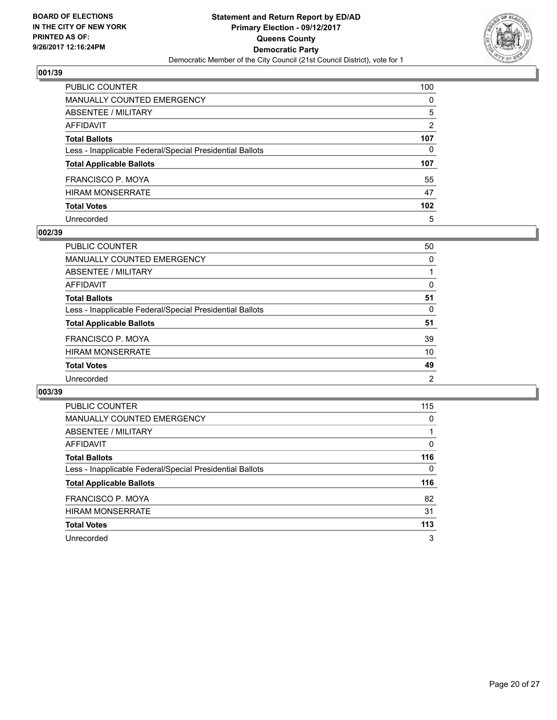

| <b>PUBLIC COUNTER</b>                                    | 100              |
|----------------------------------------------------------|------------------|
| <b>MANUALLY COUNTED EMERGENCY</b>                        | $\Omega$         |
| ABSENTEE / MILITARY                                      | 5                |
| <b>AFFIDAVIT</b>                                         | 2                |
| <b>Total Ballots</b>                                     | 107              |
| Less - Inapplicable Federal/Special Presidential Ballots | 0                |
| <b>Total Applicable Ballots</b>                          | 107              |
| <b>FRANCISCO P. MOYA</b>                                 | 55               |
| <b>HIRAM MONSERRATE</b>                                  | 47               |
| <b>Total Votes</b>                                       | 102 <sub>2</sub> |
| Unrecorded                                               | 5                |

#### **002/39**

| <b>PUBLIC COUNTER</b>                                    | 50 |
|----------------------------------------------------------|----|
| <b>MANUALLY COUNTED EMERGENCY</b>                        | 0  |
| ABSENTEE / MILITARY                                      |    |
| AFFIDAVIT                                                | 0  |
| <b>Total Ballots</b>                                     | 51 |
| Less - Inapplicable Federal/Special Presidential Ballots | 0  |
| <b>Total Applicable Ballots</b>                          | 51 |
| FRANCISCO P. MOYA                                        | 39 |
| <b>HIRAM MONSERRATE</b>                                  | 10 |
| <b>Total Votes</b>                                       | 49 |
| Unrecorded                                               | 2  |

| <b>PUBLIC COUNTER</b>                                    | 115 |
|----------------------------------------------------------|-----|
| <b>MANUALLY COUNTED EMERGENCY</b>                        | 0   |
| ABSENTEE / MILITARY                                      |     |
| AFFIDAVIT                                                | 0   |
| <b>Total Ballots</b>                                     | 116 |
| Less - Inapplicable Federal/Special Presidential Ballots | 0   |
| <b>Total Applicable Ballots</b>                          | 116 |
| FRANCISCO P. MOYA                                        | 82  |
| <b>HIRAM MONSERRATE</b>                                  | 31  |
| <b>Total Votes</b>                                       | 113 |
| Unrecorded                                               | 3   |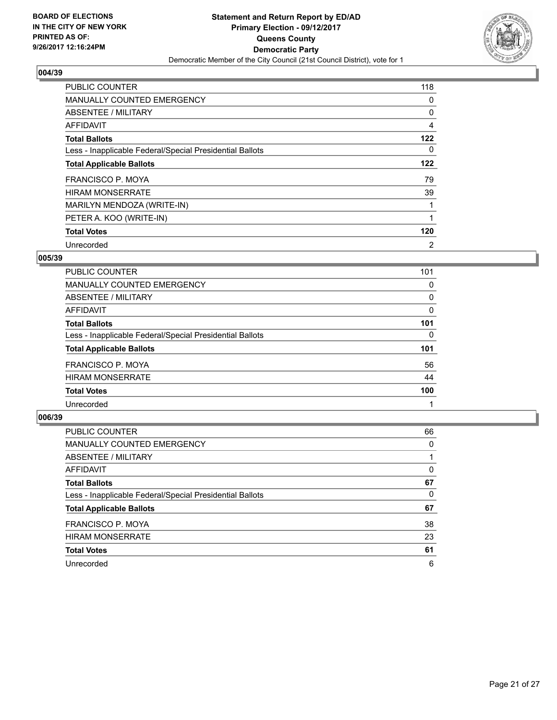

| <b>PUBLIC COUNTER</b>                                    | 118 |
|----------------------------------------------------------|-----|
| <b>MANUALLY COUNTED EMERGENCY</b>                        | 0   |
| ABSENTEE / MILITARY                                      | 0   |
| AFFIDAVIT                                                | 4   |
| <b>Total Ballots</b>                                     | 122 |
| Less - Inapplicable Federal/Special Presidential Ballots | 0   |
| <b>Total Applicable Ballots</b>                          | 122 |
| <b>FRANCISCO P. MOYA</b>                                 | 79  |
| <b>HIRAM MONSERRATE</b>                                  | 39  |
| MARILYN MENDOZA (WRITE-IN)                               |     |
| PETER A. KOO (WRITE-IN)                                  |     |
| <b>Total Votes</b>                                       | 120 |
| Unrecorded                                               | 2   |

# **005/39**

| PUBLIC COUNTER                                           | 101 |
|----------------------------------------------------------|-----|
| <b>MANUALLY COUNTED EMERGENCY</b>                        | 0   |
| ABSENTEE / MILITARY                                      | 0   |
| <b>AFFIDAVIT</b>                                         | 0   |
| <b>Total Ballots</b>                                     | 101 |
| Less - Inapplicable Federal/Special Presidential Ballots | 0   |
| <b>Total Applicable Ballots</b>                          | 101 |
| FRANCISCO P. MOYA                                        | 56  |
| <b>HIRAM MONSERRATE</b>                                  | 44  |
| <b>Total Votes</b>                                       | 100 |
| Unrecorded                                               |     |

| <b>PUBLIC COUNTER</b>                                    | 66 |
|----------------------------------------------------------|----|
| MANUALLY COUNTED EMERGENCY                               | 0  |
| ABSENTEE / MILITARY                                      |    |
| AFFIDAVIT                                                | 0  |
| <b>Total Ballots</b>                                     | 67 |
| Less - Inapplicable Federal/Special Presidential Ballots | 0  |
| <b>Total Applicable Ballots</b>                          | 67 |
| FRANCISCO P. MOYA                                        | 38 |
| <b>HIRAM MONSERRATE</b>                                  | 23 |
| <b>Total Votes</b>                                       | 61 |
| Unrecorded                                               | 6  |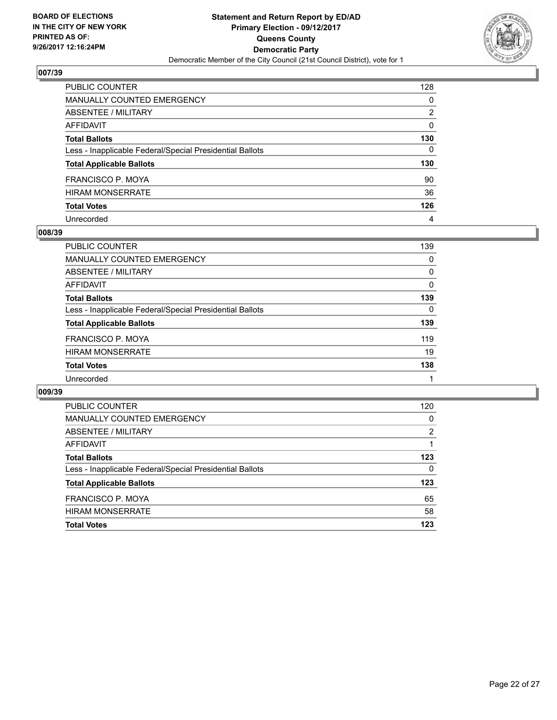

| PUBLIC COUNTER                                           | 128 |
|----------------------------------------------------------|-----|
| <b>MANUALLY COUNTED EMERGENCY</b>                        | 0   |
| <b>ABSENTEE / MILITARY</b>                               | 2   |
| <b>AFFIDAVIT</b>                                         | 0   |
| <b>Total Ballots</b>                                     | 130 |
| Less - Inapplicable Federal/Special Presidential Ballots | 0   |
| <b>Total Applicable Ballots</b>                          | 130 |
| <b>FRANCISCO P. MOYA</b>                                 | 90  |
| <b>HIRAM MONSERRATE</b>                                  | 36  |
| <b>Total Votes</b>                                       | 126 |
| Unrecorded                                               | 4   |

#### **008/39**

| <b>PUBLIC COUNTER</b>                                    | 139 |
|----------------------------------------------------------|-----|
| MANUALLY COUNTED EMERGENCY                               | 0   |
| ABSENTEE / MILITARY                                      | 0   |
| AFFIDAVIT                                                | 0   |
| <b>Total Ballots</b>                                     | 139 |
| Less - Inapplicable Federal/Special Presidential Ballots | 0   |
| <b>Total Applicable Ballots</b>                          | 139 |
| FRANCISCO P. MOYA                                        | 119 |
| <b>HIRAM MONSERRATE</b>                                  | 19  |
| <b>Total Votes</b>                                       | 138 |
| Unrecorded                                               |     |

| <b>PUBLIC COUNTER</b>                                    | 120 |
|----------------------------------------------------------|-----|
| <b>MANUALLY COUNTED EMERGENCY</b>                        | 0   |
| ABSENTEE / MILITARY                                      | 2   |
| AFFIDAVIT                                                |     |
| <b>Total Ballots</b>                                     | 123 |
| Less - Inapplicable Federal/Special Presidential Ballots | 0   |
| <b>Total Applicable Ballots</b>                          | 123 |
| FRANCISCO P. MOYA                                        | 65  |
| <b>HIRAM MONSERRATE</b>                                  | 58  |
| <b>Total Votes</b>                                       | 123 |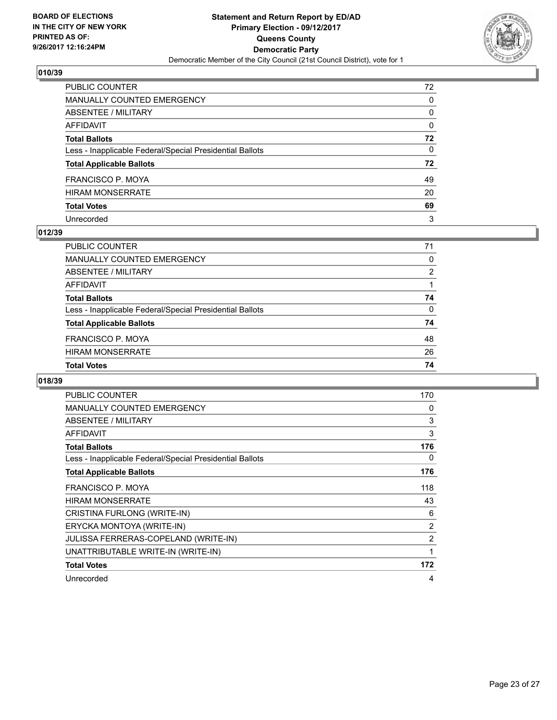

| PUBLIC COUNTER                                           | 72           |
|----------------------------------------------------------|--------------|
| <b>MANUALLY COUNTED EMERGENCY</b>                        | 0            |
| <b>ABSENTEE / MILITARY</b>                               | 0            |
| AFFIDAVIT                                                | $\mathbf{0}$ |
| <b>Total Ballots</b>                                     | 72           |
| Less - Inapplicable Federal/Special Presidential Ballots | $\mathbf{0}$ |
| <b>Total Applicable Ballots</b>                          | 72           |
| FRANCISCO P. MOYA                                        | 49           |
| <b>HIRAM MONSERRATE</b>                                  | 20           |
| <b>Total Votes</b>                                       | 69           |
| Unrecorded                                               | 3            |

#### **012/39**

| <b>Total Votes</b>                                       | 74 |
|----------------------------------------------------------|----|
| <b>HIRAM MONSERRATE</b>                                  | 26 |
| FRANCISCO P. MOYA                                        | 48 |
| <b>Total Applicable Ballots</b>                          | 74 |
| Less - Inapplicable Federal/Special Presidential Ballots | 0  |
| <b>Total Ballots</b>                                     | 74 |
| AFFIDAVIT                                                |    |
| ABSENTEE / MILITARY                                      | 2  |
| MANUALLY COUNTED EMERGENCY                               | 0  |
| <b>PUBLIC COUNTER</b>                                    | 71 |

| <b>PUBLIC COUNTER</b>                                    | 170 |
|----------------------------------------------------------|-----|
| <b>MANUALLY COUNTED EMERGENCY</b>                        | 0   |
| ABSENTEE / MILITARY                                      | 3   |
| <b>AFFIDAVIT</b>                                         | 3   |
| <b>Total Ballots</b>                                     | 176 |
| Less - Inapplicable Federal/Special Presidential Ballots | 0   |
| <b>Total Applicable Ballots</b>                          | 176 |
| FRANCISCO P. MOYA                                        | 118 |
| <b>HIRAM MONSERRATE</b>                                  | 43  |
| CRISTINA FURLONG (WRITE-IN)                              | 6   |
| ERYCKA MONTOYA (WRITE-IN)                                | 2   |
| <b>JULISSA FERRERAS-COPELAND (WRITE-IN)</b>              | 2   |
| UNATTRIBUTABLE WRITE-IN (WRITE-IN)                       | 1   |
| <b>Total Votes</b>                                       | 172 |
| Unrecorded                                               | 4   |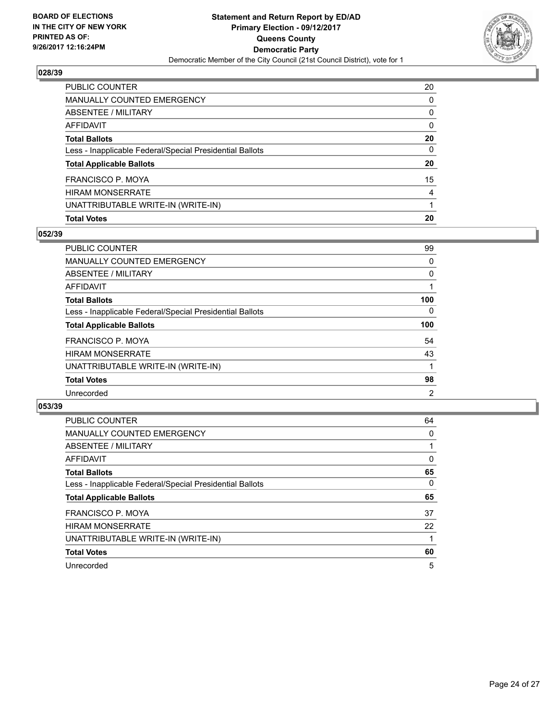

| PUBLIC COUNTER                                           | 20           |
|----------------------------------------------------------|--------------|
| <b>MANUALLY COUNTED EMERGENCY</b>                        | 0            |
| <b>ABSENTEE / MILITARY</b>                               | 0            |
| AFFIDAVIT                                                | $\mathbf{0}$ |
| <b>Total Ballots</b>                                     | 20           |
| Less - Inapplicable Federal/Special Presidential Ballots | $\mathbf{0}$ |
| <b>Total Applicable Ballots</b>                          | 20           |
| <b>FRANCISCO P. MOYA</b>                                 | 15           |
| <b>HIRAM MONSERRATE</b>                                  | 4            |
| UNATTRIBUTABLE WRITE-IN (WRITE-IN)                       |              |
| <b>Total Votes</b>                                       | 20           |

# **052/39**

| <b>PUBLIC COUNTER</b>                                    | 99  |
|----------------------------------------------------------|-----|
| <b>MANUALLY COUNTED EMERGENCY</b>                        | 0   |
| ABSENTEE / MILITARY                                      | 0   |
| AFFIDAVIT                                                |     |
| <b>Total Ballots</b>                                     | 100 |
| Less - Inapplicable Federal/Special Presidential Ballots | 0   |
| <b>Total Applicable Ballots</b>                          | 100 |
| <b>FRANCISCO P. MOYA</b>                                 | 54  |
| <b>HIRAM MONSERRATE</b>                                  | 43  |
| UNATTRIBUTABLE WRITE-IN (WRITE-IN)                       |     |
| <b>Total Votes</b>                                       | 98  |
| Unrecorded                                               | 2   |
|                                                          |     |

| <b>PUBLIC COUNTER</b>                                    | 64 |
|----------------------------------------------------------|----|
| <b>MANUALLY COUNTED EMERGENCY</b>                        | 0  |
| ABSENTEE / MILITARY                                      |    |
| <b>AFFIDAVIT</b>                                         | 0  |
| <b>Total Ballots</b>                                     | 65 |
| Less - Inapplicable Federal/Special Presidential Ballots | 0  |
| <b>Total Applicable Ballots</b>                          | 65 |
| FRANCISCO P. MOYA                                        | 37 |
| <b>HIRAM MONSERRATE</b>                                  | 22 |
| UNATTRIBUTABLE WRITE-IN (WRITE-IN)                       |    |
| <b>Total Votes</b>                                       | 60 |
| Unrecorded                                               | 5  |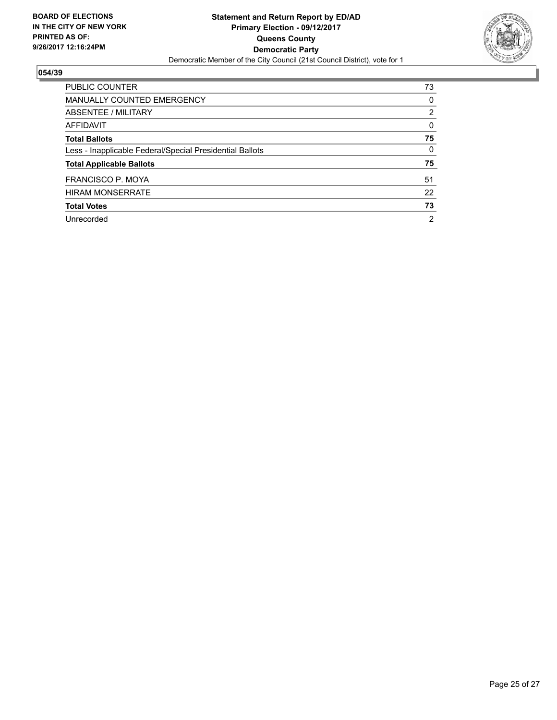

| <b>PUBLIC COUNTER</b>                                    | 73             |
|----------------------------------------------------------|----------------|
| <b>MANUALLY COUNTED EMERGENCY</b>                        | 0              |
| ABSENTEE / MILITARY                                      | $\overline{2}$ |
| AFFIDAVIT                                                | 0              |
| <b>Total Ballots</b>                                     | 75             |
| Less - Inapplicable Federal/Special Presidential Ballots | 0              |
| <b>Total Applicable Ballots</b>                          | 75             |
| FRANCISCO P. MOYA                                        | 51             |
| <b>HIRAM MONSERRATE</b>                                  | 22             |
| <b>Total Votes</b>                                       | 73             |
| Unrecorded                                               | $\overline{2}$ |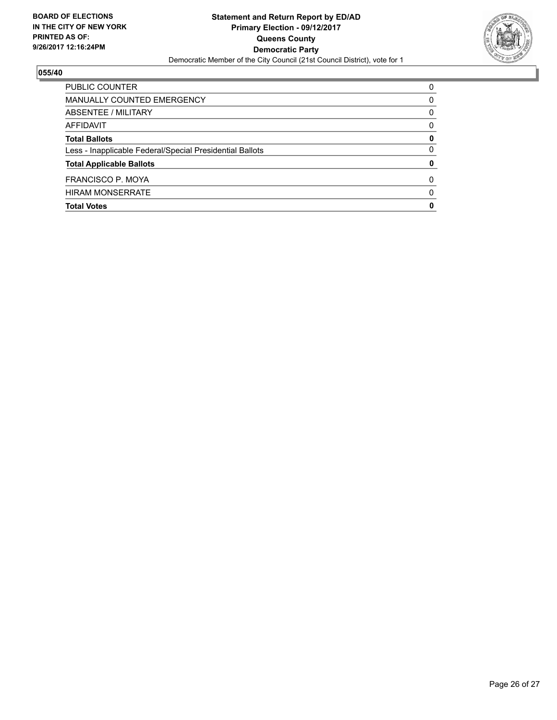

| <b>Total Votes</b>                                       | 0        |
|----------------------------------------------------------|----------|
| <b>HIRAM MONSERRATE</b>                                  | $\Omega$ |
| FRANCISCO P. MOYA                                        | 0        |
| <b>Total Applicable Ballots</b>                          | 0        |
| Less - Inapplicable Federal/Special Presidential Ballots | 0        |
| <b>Total Ballots</b>                                     | 0        |
| AFFIDAVIT                                                | 0        |
| ABSENTEE / MILITARY                                      | 0        |
| MANUALLY COUNTED EMERGENCY                               | 0        |
| PUBLIC COUNTER                                           | 0        |